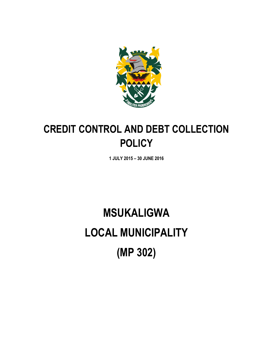

# **CREDIT CONTROL AND DEBT COLLECTION POLICY**

**1 JULY 2015 – 30 JUNE 2016**

# **MSUKALIGWA LOCAL MUNICIPALITY (MP 302)**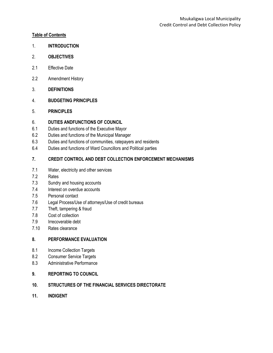#### **Table of Contents**

- 1. **INTRODUCTION**
- 2. **OBJECTIVES**
- 2.1 Effective Date
- 2.2 Amendment History
- 3. **DEFINITIONS**
- 4. **BUDGETING PRINCIPLES**
- 5. **PRINCIPLES**

#### 6. **DUTIES ANDFUNCTIONS OF COUNCIL**

- 6.1 Duties and functions of the Executive Mayor
- 6.2 Duties and functions of the Municipal Manager
- 6.3 Duties and functions of communities, ratepayers and residents
- 6.4 Duties and functions of Ward Councillors and Political parties

#### **7. CREDIT CONTROL AND DEBT COLLECTION ENFORCEMENT MECHANISMS**

- 7.1 Water, electricity and other services
- 7.2 Rates
- 7.3 Sundry and housing accounts
- 7.4 Interest on overdue accounts
- 7.5 Personal contact
- 7.6 Legal Process/Use of attorneys/Use of credit bureaus
- 7.7 Theft, tampering & fraud
- 7.8 Cost of collection
- 7.9 Irrecoverable debt
- 7.10 Rates clearance

#### **8. PERFORMANCE EVALUATION**

- 8.1 Income Collection Targets
- 8.2 Consumer Service Targets
- 8.3 Administrative Performance

#### **9. REPORTING TO COUNCIL**

- **10. STRUCTURES OF THE FINANCIAL SERVICES DIRECTORATE**
- **11. INDIGENT**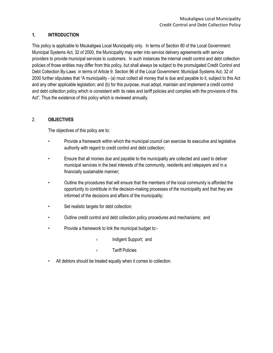#### **1. INTRODUCTION**

This policy is applicable to Msukaligwa Local Municipality only. In terms of Section 80 of the Local Government: Municipal Systems Act, 32 of 2000, the Municipality may enter into service delivery agreements with service providers to provide municipal services to customers. In such instances the internal credit control and debt collection policies of those entities may differ from this policy, but shall always be subject to the promulgated Credit Control and Debt Collection By-Laws in terms of Article 9. Section 96 of the Local Government: Municipal Systems Act, 32 of 2000 further stipulates that "A municipality - (a) must collect all money that is due and payable to it, subject to this Act and any other applicable legislation; and (b) for this purpose, must adopt, maintain and implement a credit control and debt collection policy which is consistent with its rates and tariff policies and complies with the provisions of this Act", Thus the existence of this policy which is reviewed annually.

#### 2. **OBJECTIVES**

The objectives of this policy are to:

- Provide a framework within which the municipal council can exercise its executive and legislative authority with regard to credit control and debt collection;
- Ensure that all monies due and payable to the municipality are collected and used to deliver municipal services in the best interests of the community, residents and ratepayers and in a financially sustainable manner;
- Outline the procedures that will ensure that the members of the local community is afforded the opportunity to contribute in the decision-making processes of the municipality and that they are informed of the decisions and affairs of the municipality;
- Set realistic targets for debt collection;
- Outline credit control and debt collection policy procedures and mechanisms; and
- Provide a framework to link the municipal budget to:-
	- ‹ Indigent Support; and
	- ‹ Tariff Policies
- All debtors should be treated equally when it comes to collection.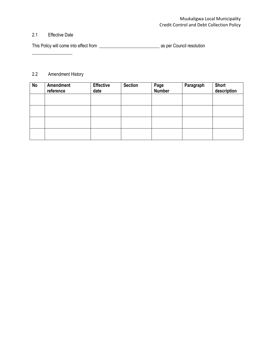#### 2.1 Effective Date

\_\_\_\_\_\_\_\_\_\_\_\_\_\_\_\_\_\_

This Policy will come into effect from \_\_\_\_\_\_\_\_\_\_\_\_\_\_\_\_\_\_\_\_\_\_\_\_\_\_\_ as per Council resolution

# 2.2 Amendment History

| <b>No</b> | Amendment<br>reference | <b>Effective</b><br>date | <b>Section</b> | Page<br>Number | Paragraph | <b>Short</b><br>description |
|-----------|------------------------|--------------------------|----------------|----------------|-----------|-----------------------------|
|           |                        |                          |                |                |           |                             |
|           |                        |                          |                |                |           |                             |
|           |                        |                          |                |                |           |                             |
|           |                        |                          |                |                |           |                             |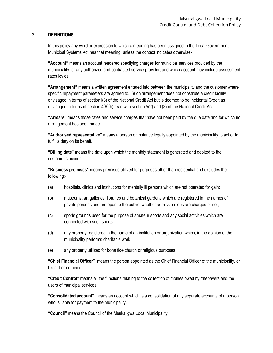#### 3. **DEFINITIONS**

In this policy any word or expression to which a meaning has been assigned in the Local Government: Municipal Systems Act has that meaning, unless the context indicates otherwise-

**"Account"** means an account rendered specifying charges for municipal services provided by the municipality, or any authorized and contracted service provider, and which account may include assessment rates levies.

**"Arrangement"** means a written agreement entered into between the municipality and the customer where specific repayment parameters are agreed to. Such arrangement does not constitute a credit facility envisaged in terms of section i(3) of the National Credit Act but is deemed to be Incidental Credit as envisaged in terms of section 4(6)(b) read with section 5(2) and (3) of the National Credit Act.

**"Arrears"** means those rates and service charges that have not been paid by the due date and for which no arrangement has been made.

**"Authorised representative"** means a person or instance legally appointed by the municipality to act or to fulfill a duty on its behalf.

**"Billing date"** means the date upon which the monthly statement is generated and debited to the customer's account.

**"Business premises"** means premises utilized for purposes other than residential and excludes the following:-

- (a) hospitals, clinics and institutions for mentally ill persons which are not operated for gain;
- (b) museums, art galleries, libraries and botanical gardens which are registered in the names of private persons and are open to the public, whether admission fees are charged or not;
- (c) sports grounds used for the purpose of amateur sports and any social activities which are connected with such sports;
- (d) any property registered in the name of an institution or organization which, in the opinion of the municipality performs charitable work;
- (e) any property utilized for bona fide church or religious purposes.

**"Chief Financial Officer"** means the person appointed as the Chief Financial Officer of the municipality, or his or her nominee.

**"Credit Control"** means all the functions relating to the collection of monies owed by ratepayers and the users of municipal services.

**"Consolidated account"** means an account which is a consolidation of any separate accounts of a person who is liable for payment to the municipality.

**"Council"** means the Council of the Msukaligwa Local Municipality.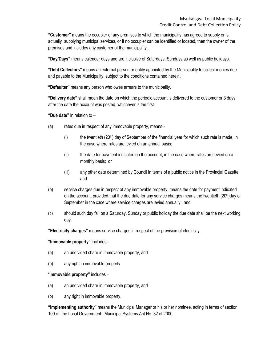**"Customer"** means the occupier of any premises to which the municipality has agreed to supply or is actually supplying municipal services, or if no occupier can be identified or located, then the owner of the premises and includes any customer of the municipality.

**"Day/Days"** means calendar days and are inclusive of Saturdays, Sundays as well as public holidays.

**"Debt Collectors"** means an external person or entity appointed by the Municipality to collect monies due and payable to the Municipality, subject to the conditions contained herein.

**"Defaulter"** means any person who owes arrears to the municipality.

**"Delivery date"** shall mean the date on which the periodic account is delivered to the customer or 3 days after the date the account was posted, whichever is the first.

**"Due date"** in relation to –

- (a) rates due in respect of any immovable property, means:-
	- $(i)$  the twentieth  $(20<sup>th</sup>)$  day of September of the financial year for which such rate is made, in the case where rates are levied on an annual basis:
	- (ii) the date for payment indicated on the account, in the case where rates are levied on a monthly basis; or
	- (iii) any other date determined by Council in terms of a public notice in the Provincial Gazette, and
- (b) service charges due in respect of any immovable property, means the date for payment indicated on the account, provided that the due date for any service charges means the twentieth (20<sup>th</sup>)day of September in the case where service charges are levied annually; and
- (c) should such day fall on a Saturday, Sunday or public holiday the due date shall be the next working day.

**"Electricity charges"** means service charges in respect of the provision of electricity.

#### **"Immovable property"** includes –

- (a) an undivided share in immovable property, and
- (b) any right in immovable property

"**Immovable property"** includes –

- (a) an undivided share in immovable property, and
- (b) any right in immovable property.

**"Implementing authority"** means the Municipal Manager or his or her nominee, acting in terms of section 100 of the Local Government: Municipal Systems Act No. 32 of 2000.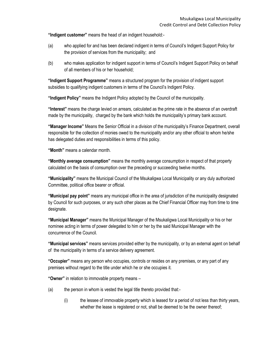**"Indigent customer"** means the head of an indigent household:-

- (a) who applied for and has been declared indigent in terms of Council's Indigent Support Policy for the provision of services from the municipality; and
- (b) who makes application for indigent support in terms of Council's Indigent Support Policy on behalf of all members of his or her household;

**"Indigent Support Programme"** means a structured program for the provision of indigent support subsidies to qualifying indigent customers in terms of the Council's Indigent Policy.

**"Indigent Policy"** means the Indigent Policy adopted by the Council of the municipality.

**"Interest"** means the charge levied on arrears, calculated as the prime rate in the absence of an overdraft made by the municipality, charged by the bank which holds the municipality's primary bank account.

**"Manager Income"** Means the Senior Official in a division of the municipality's Finance Department, overall responsible for the collection of monies owed to the municipality and/or any other official to whom he/she has delegated duties and responsibilities in terms of this policy.

**"Month"** means a calendar month.

**"Monthly average consumption"** means the monthly average consumption in respect of that property calculated on the basis of consumption over the preceding or succeeding twelve months.

**"Municipality"** means the Municipal Council of the Msukaligwa Local Municipality or any duly authorized Committee, political office bearer or official.

**"Municipal pay point"** means any municipal office in the area of jurisdiction of the municipality designated by Council for such purposes, or any such other places as the Chief Financial Officer may from time to time designate.

**"Municipal Manager"** means the Municipal Manager of the Msukaligwa Local Municipality or his or her nominee acting in terms of power delegated to him or her by the said Municipal Manager with the concurrence of the Council.

**"Municipal services"** means services provided either by the municipality, or by an external agent on behalf of the municipality in terms of a service delivery agreement.

**"Occupier"** means any person who occupies, controls or resides on any premises, or any part of any premises without regard to the title under which he or she occupies it.

**"Owner"** in relation to immovable property means –

- (a) the person in whom is vested the legal title thereto provided that:-
	- (i) the lessee of immovable property which is leased for a period of not less than thirty years, whether the lease is registered or not, shall be deemed to be the owner thereof;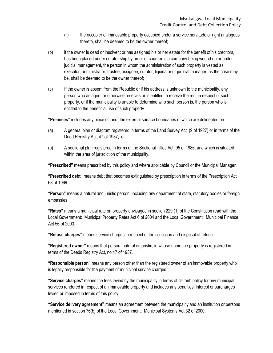- (ii) the occupier of immovable property occupied under a service servitude or right analogous thereto, shall be deemed to be the owner thereof;
- (b) if the owner is dead or insolvent or has assigned his or her estate for the benefit of his creditors, has been placed under curator ship by order of court or is a company being wound up or under judicial management, the person in whom the administration of such property is vested as executor, administrator, trustee, assignee, curator, liquidator or judicial manager, as the case may be, shall be deemed to be the owner thereof;
- (c) If the owner is absent from the Republic or if his address is unknown to the municipality, any person who as agent or otherwise receives or is entitled to receive the rent in respect of such property, or if the municipality is unable to determine who such person is, the person who is entitled to the beneficial use of such property.

**"Premises"** includes any piece of land, the external surface boundaries of which are delineated on:

- (a) A general plan or diagram registered in terms of the Land Survey Act, (9 of 1927) or in terms of the Deed Registry Act, 47 of 1937; or
- (b) A sectional plan registered in terms of the Sectional Titles Act, 95 of 1986, and which is situated within the area of jurisdiction of the municipality.

**"Prescribed"** means prescribed by this policy and where applicable by Council or the Municipal Manager.

**"Prescribed debt"** means debt that becomes extinguished by prescription in terms of the Prescription Act 68 of 1969.

**"Person"** means a natural and juristic person, including any department of state, statutory bodies or foreign embassies.

**"Rates"** means a municipal rate on property envisaged in section 229 (1) of the Constitution read with the Local Government: Municipal Property Rates Act 6 of 2004 and the Local Government: Municipal Finance Act 56 of 2003.

**"Refuse charges"** means service charges in respect of the collection and disposal of refuse.

**"Registered owner"** means that person, natural or juristic, in whose name the property is registered in terms of the Deeds Registry Act, no 47 of 1937.

**"Responsible person"** means any person other than the registered owner of an immovable property who is legally responsible for the payment of municipal service charges.

**"Service charges"** means the fees levied by the municipality in terms of its tariff policy for any municipal services rendered in respect of an immovable property and includes any penalties, interest or surcharges levied or imposed in terms of this policy.

**"Service delivery agreement"** means an agreement between the municipality and an institution or persons mentioned in section 76(b) of the Local Government: Municipal Systems Act 32 of 2000.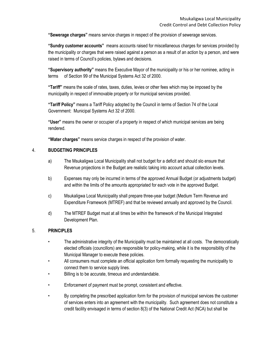**"Sewerage charges"** means service charges in respect of the provision of sewerage services.

**"Sundry customer accounts"** means accounts raised for miscellaneous charges for services provided by the municipality or charges that were raised against a person as a result of an action by a person, and were raised in terms of Council's policies, bylaws and decisions.

**"Supervisory authority"** means the Executive Mayor of the municipality or his or her nominee, acting in terms of Section 99 of the Municipal Systems Act 32 of 2000.

**"Tariff"** means the scale of rates, taxes, duties, levies or other fees which may be imposed by the municipality in respect of immovable property or for municipal services provided.

**"Tariff Policy"** means a Tariff Policy adopted by the Council in terms of Section 74 of the Local Government: Municipal Systems Act 32 of 2000.

**"User"** means the owner or occupier of a property in respect of which municipal services are being rendered.

**"Water charges"** means service charges in respect of the provision of water.

#### 4. **BUDGETING PRINCIPLES**

- a) The Msukaligwa Local Municipality shall not budget for a deficit and should slo ensure that Revenue projections in the Budget are realistic taking into account actual collection levels.
- b) Expenses may only be incurred in terms of the approved Annual Budget (or adjustments budget) and within the limits of the amounts appropriated for each vote in the approved Budget.
- c) Msukaligwa Local Municipality shall prepare three-year budget (Medium Term Revenue and Expenditure Framework (MTREF) and that be reviewed annually and approved by the Council.
- d) The MTREF Budget must at all times be within the framework of the Municipal Integrated Development Plan.

#### 5. **PRINCIPLES**

- The administrative integrity of the Municipality must be maintained at all costs. The democratically elected officials (councillors) are responsible for policy-making, while it is the responsibility of the Municipal Manager to execute these policies.
- All consumers must complete an official application form formally requesting the municipality to connect them to service supply lines.
- Billing is to be accurate, timeous and understandable.
- Enforcement of payment must be prompt, consistent and effective.
- By completing the prescribed application form for the provision of municipal services the customer of services enters into an agreement with the municipality. Such agreement does not constitute a credit facility envisaged in terms of section 8(3) of the National Credit Act (NCA) but shall be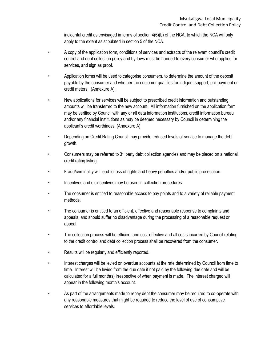incidental credit as envisaged in terms of section 4(6)(b) of the NCA, to which the NCA will only apply to the extent as stipulated in section 5 of the NCA.

- A copy of the application form, conditions of services and extracts of the relevant council's credit control and debt collection policy and by-laws must be handed to every consumer who applies for services, and sign as proof.
- Application forms will be used to categorise consumers, to determine the amount of the deposit payable by the consumer and whether the customer qualifies for indigent support, pre-payment or credit meters. (Annexure A).
- New applications for services will be subject to prescribed credit information and outstanding amounts will be transferred to the new account. All information furnished on the application form may be verified by Council with any or all data information institutions, credit information bureau and/or any financial institutions as may be deemed necessary by Council in determining the applicant's credit worthiness. (Annexure A).
- Depending on Credit Rating Council may provide reduced levels of service to manage the debt growth.
- Consumers may be referred to  $3<sup>rd</sup>$  party debt collection agencies and may be placed on a national credit rating listing.
- Fraud/criminality will lead to loss of rights and heavy penalties and/or public prosecution.
- Incentives and disincentives may be used in collection procedures.
- The consumer is entitled to reasonable access to pay points and to a variety of reliable payment methods.
- The consumer is entitled to an efficient, effective and reasonable response to complaints and appeals, and should suffer no disadvantage during the processing of a reasonable request or appeal.
- The collection process will be efficient and cost-effective and all costs incurred by Council relating to the credit control and debt collection process shall be recovered from the consumer.
- Results will be regularly and efficiently reported.
- Interest charges will be levied on overdue accounts at the rate determined by Council from time to time. Interest will be levied from the due date if not paid by the following due date and will be calculated for a full month(s) irrespective of when payment is made. The interest charged will appear in the following month's account.
- As part of the arrangements made to repay debt the consumer may be required to co-operate with any reasonable measures that might be required to reduce the level of use of consumptive services to affordable levels.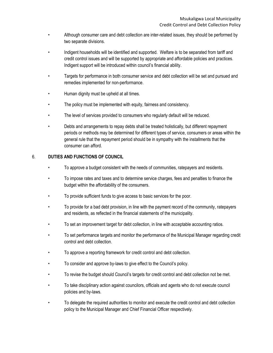- Although consumer care and debt collection are inter-related issues, they should be performed by two separate divisions.
- Indigent households will be identified and supported. Welfare is to be separated from tariff and credit control issues and will be supported by appropriate and affordable policies and practices. Indigent support will be introduced within council's financial ability.
- Targets for performance in both consumer service and debt collection will be set and pursued and remedies implemented for non-performance.
- Human dignity must be upheld at all times.
- The policy must be implemented with equity, fairness and consistency.
- The level of services provided to consumers who regularly default will be reduced.
- Debts and arrangements to repay debts shall be treated holistically, but different repayment periods or methods may be determined for different types of service, consumers or areas within the general rule that the repayment period should be in sympathy with the installments that the consumer can afford.

#### 6. **DUTIES AND FUNCTIONS OF COUNCIL**

- To approve a budget consistent with the needs of communities, ratepayers and residents.
- To impose rates and taxes and to determine service charges, fees and penalties to finance the budget within the affordability of the consumers.
- To provide sufficient funds to give access to basic services for the poor.
- To provide for a bad debt provision, in line with the payment record of the community, ratepayers and residents, as reflected in the financial statements of the municipality.
- To set an improvement target for debt collection, in line with acceptable accounting ratios.
- To set performance targets and monitor the performance of the Municipal Manager regarding credit control and debt collection.
- To approve a reporting framework for credit control and debt collection.
- To consider and approve by-laws to give effect to the Council's policy.
- To revise the budget should Council's targets for credit control and debt collection not be met.
- To take disciplinary action against councilors, officials and agents who do not execute council policies and by-laws.
- To delegate the required authorities to monitor and execute the credit control and debt collection policy to the Municipal Manager and Chief Financial Officer respectively.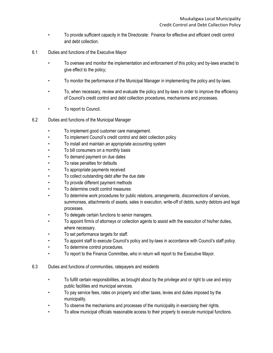- To provide sufficient capacity in the Directorate: Finance for effective and efficient credit control and debt collection.
- 6.1 Duties and functions of the Executive Mayor
	- To oversee and monitor the implementation and enforcement of this policy and by-laws enacted to give effect to the policy;
	- To monitor the performance of the Municipal Manager in implementing the policy and by-laws.
	- To, when necessary, review and evaluate the policy and by-laws in order to improve the efficiency of Council's credit control and debt collection procedures, mechanisms and processes.
	- To report to Council.
- 6.2 Duties and functions of the Municipal Manager
	- To implement good customer care management.
	- To implement Council's credit control and debt collection policy
	- To install and maintain an appropriate accounting system
	- To bill consumers on a monthly basis
	- To demand payment on due dates
	- To raise penalties for defaults
	- To appropriate payments received
	- To collect outstanding debt after the due date
	- To provide different payment methods
	- To determine credit control measures
	- To determine work procedures for public relations, arrangements, disconnections of services, summonses, attachments of assets, sales in execution, write-off of debts, sundry debtors and legal processes.
	- To delegate certain functions to senior managers.
	- To appoint firm/s of attorneys or collection agents to assist with the execution of his/her duties, where necessary.
	- To set performance targets for staff.
	- To appoint staff to execute Council's policy and by-laws in accordance with Council's staff policy.
	- To determine control procedures.
	- To report to the Finance Committee, who in return will report to the Executive Mayor.
- 6.3 Duties and functions of communities, ratepayers and residents
	- To fulfill certain responsibilities, as brought about by the privilege and or right to use and enjoy public facilities and municipal services.
	- To pay service fees, rates on property and other taxes, levies and duties imposed by the municipality.
	- To observe the mechanisms and processes of the municipality in exercising their rights.
	- To allow municipal officials reasonable access to their property to execute municipal functions.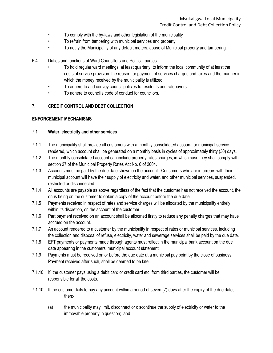- To comply with the by-laws and other legislation of the municipality
- To refrain from tampering with municipal services and property.
- To notify the Municipality of any default meters, abuse of Municipal property and tampering.
- 6.4 Duties and functions of Ward Councillors and Political parties
	- To hold regular ward meetings, at least quarterly, to inform the local community of at least the costs of service provision, the reason for payment of services charges and taxes and the manner in which the money received by the municipality is utilized.
	- To adhere to and convey council policies to residents and ratepayers.
	- To adhere to council's code of conduct for councilors.

#### 7. **CREDIT CONTROL AND DEBT COLLECTION**

#### **ENFORCEMENT MECHANISMS**

#### 7.1 **Water, electricity and other services**

- 7.1.1 The municipality shall provide all customers with a monthly consolidated account for municipal service rendered, which account shall be generated on a monthly basis in cycles of approximately thirty (30) days.
- 7.1.2 The monthly consolidated account can include property rates charges, in which case they shall comply with section 27 of the Municipal Property Rates Act No. 6 of 2004.
- 7.1.3 Accounts must be paid by the due date shown on the account. Consumers who are in arrears with their municipal account will have their supply of electricity and water, and other municipal services, suspended, restricted or disconnected.
- 7.1.4 All accounts are payable as above regardless of the fact that the customer has not received the account, the onus being on the customer to obtain a copy of the account before the due date.
- 7.1.5 Payments received in respect of rates and service charges will be allocated by the municipality entirely within its discretion, on the account of the customer.
- 7.1.6 Part payment received on an account shall be allocated firstly to reduce any penalty charges that may have accrued on the account.
- 7.1.7 An account rendered to a customer by the municipality in respect of rates or municipal services, including the collection and disposal of refuse, electricity, water and sewerage services shall be paid by the due date.
- 7.1.8 EFT payments or payments made through agents must reflect in the municipal bank account on the due date appearing in the customers' municipal account statement.
- 7.1.9 Payments must be received on or before the due date at a municipal pay point by the close of business. Payment received after such, shall be deemed to be late.
- 7.1.10 If the customer pays using a debit card or credit card etc. from third parties, the customer will be responsible for all the costs.
- 7.1.10 If the customer fails to pay any account within a period of seven (7) days after the expiry of the due date, then:-
	- (a) the municipality may limit, disconnect or discontinue the supply of electricity or water to the immovable property in question; and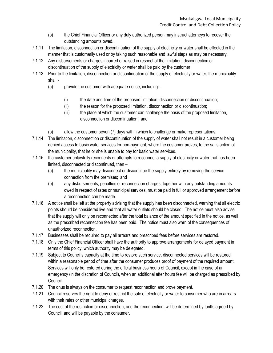- (b) the Chief Financial Officer or any duly authorized person may instruct attorneys to recover the outstanding amounts owed.
- 7.1.11 The limitation, disconnection or discontinuation of the supply of electricity or water shall be effected in the manner that is customarily used or by taking such reasonable and lawful steps as may be necessary.
- 7.1.12 Any disbursements or charges incurred or raised in respect of the limitation, disconnection or discontinuation of the supply of electricity or water shall be paid by the customer.
- 7.1.13 Prior to the limitation, disconnection or discontinuation of the supply of electricity or water, the municipality shall:-
	- (a) provide the customer with adequate notice, including:-
		- (i) the date and time of the proposed limitation, disconnection or discontinuation;
		- (ii) the reason for the proposed limitation, disconnection or discontinuation;
		- (iii) the place at which the customer can challenge the basis of the proposed limitation, disconnection or discontinuation; and
	- (b) allow the customer seven (7) days within which to challenge or make representations.
- 7.1.14 The limitation, disconnection or discontinuation of the supply of water shall not result in a customer being denied access to basic water services for non-payment, where the customer proves, to the satisfaction of the municipality, that he or she is unable to pay for basic water services.
- 7.1.15 If a customer unlawfully reconnects or attempts to reconnect a supply of electricity or water that has been limited, disconnected or discontinued, then –
	- (a) the municipality may disconnect or discontinue the supply entirely by removing the service connection from the premises; and
	- (b) any disbursements, penalties or reconnection charges, together with any outstanding amounts owed in respect of rates or municipal services, must be paid in full or approved arrangement before a reconnection can be made.
- 7.1.16 A notice shall be left at the property advising that the supply has been disconnected, warning that all electric points should be considered live and that all water outlets should be closed. The notice must also advise that the supply will only be reconnected after the total balance of the amount specified in the notice, as well as the prescribed reconnection fee has been paid. The notice must also warn of the consequences of unauthorized reconnection.
- 7.1.17 Businesses shall be required to pay all arrears and prescribed fees before services are restored.
- 7.1.18 Only the Chief Financial Officer shall have the authority to approve arrangements for delayed payment in terms of this policy, which authority may be delegated.
- 7.1.19 Subject to Council's capacity at the time to restore such service, disconnected services will be restored within a reasonable period of time after the consumer produces proof of payment of the required amount. Services will only be restored during the official business hours of Council, except in the case of an emergency (in the discretion of Council), when an additional after hours fee will be charged as prescribed by Council.
- 7.1.20 The onus is always on the consumer to request reconnection and prove payment.
- 7.1.21 Council reserves the right to deny or restrict the sale of electricity or water to consumer who are in arrears with their rates or other municipal charges.
- 7.1.22 The cost of the restriction or disconnection, and the reconnection, will be determined by tariffs agreed by Council, and will be payable by the consumer.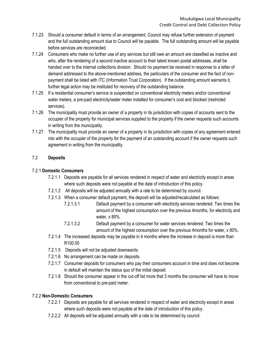- 7.1.23 Should a consumer default in terms of an arrangement, Council may refuse further extension of payment and the full outstanding amount due to Council will be payable. The full outstanding amount will be payable before services are reconnected.
- 7.1.24 Consumers who make no further use of any services but still owe an amount are classified as inactive and who, after the rendering of a second inactive account to their latest known postal addresses, shall be handed over to the internal collections division. Should no payment be received in response to a letter of demand addressed to the above-mentioned address, the particulars of the consumer and the fact of nonpayment shall be listed with ITC (Information Trust Corporation). If the outstanding amount warrants it, further legal action may be instituted for recovery of the outstanding balance.
- 7.1.25 If a residential consumer's service is suspended on conventional electricity meters and/or conventional water meters, a pre-paid electricity/water meter installed for consumer's cost and blocked (restricted services).
- 7.1.26 The municipality must provide an owner of a property in its jurisdiction with copies of accounts sent to the occupier of the property for municipal services supplied to the property if the owner requests such accounts in writing from the municipality.
- 7.1.27 The municipality must provide an owner of a property in its jurisdiction with copies of any agreement entered into with the occupier of the property for the payment of an outstanding account if the owner requests such agreement in writing from the municipality.

#### 7.2 **Deposits**

#### 7.2.1 **Domestic Consumers**

- 7.2.1.1 Deposits are payable for all services rendered in respect of water and electricity except in areas where such deposits were not payable at the date of introduction of this policy.
- 7.2.1.2 All deposits will be adjusted annually with a rate to be determined by council.
- 7.2.1.3 When a consumer default payment, the deposit will be adjusted/recalculated as follows:
	- 7.2.1.3.1 Default payment by a consumer with electricity services rendered: Two times the amount of the highest consumption over the previous 4months, for electricity and water, x 80%.
	- 7.2.1.3.2 Default payment by a consumer for water services rendered: Two times the amount of the highest consumption over the previous 4months for water, x 80%.
- 7.2.1.4 The increased deposits may be payable in 4 months where the increase in deposit is more than R100.00
- 7.2.1.5 Deposits will not be adjusted downwards.
- 7.2.1.6 No arrangement can be made on deposits.
- 7.2.1.7 Consumer deposits for consumers who pay their consumers account in time and does not become in default will maintain the status quo of the initial deposit.
- 7.2.1.8 Should the consumer appear in the cut-off list more that 3 months the consumer will have to move from conventional to pre-paid meter.

#### 7.2.2 **Non-Domestic Consumers**

- 7.2.2.1 Deposits are payable for all services rendered in respect of water and electricity except in areas where such deposits were not payable at the date of introduction of this policy.
- 7.2.2.2 All deposits will be adjusted annually with a rate to be determined by council.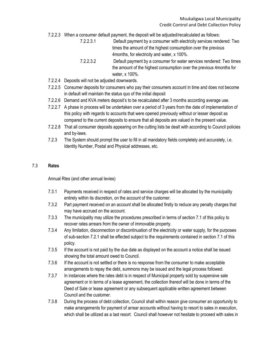- 7.2.2.3 When a consumer default payment, the deposit will be adjusted/recalculated as follows:
	- 7.2.2.3.1 Default payment by a consumer with electricity services rendered: Two times the amount of the highest consumption over the previous 4months, for electricity and water, x 100%.
	- 7.2.2.3.2 Default payment by a consumer for water services rendered: Two times the amount of the highest consumption over the previous 4months for water, x 100%.
- 7.2.2.4 Deposits will not be adjusted downwards.
- 7.2.2.5 Consumer deposits for consumers who pay their consumers account in time and does not become in default will maintain the status quo of the initial deposit
- 7.2.2.6 Demand and KVA meters deposit's to be recalculated after 3 months according average use.
- 7.2.2.7 A phase in process will be undertaken over a period of 3 years from the date of implementation of this policy with regards to accounts that were opened previously without or lesser deposit as compared to the current deposits to ensure that all deposits are valued in the present value.
- 7.2.2.8 That all consumer deposits appearing on the cutting lists be dealt with according to Council policies and by-laws.
- 7.2.3 The System should prompt the user to fill in all mandatory fields completely and accurately, i.e. Identity Number, Postal and Physical addresses, etc.

#### 7.3 **Rates**

Annual Rtes (and other annual levies)

- 7.3.1 Payments received in respect of rates and service charges will be allocated by the municipality entirely within its discretion, on the account of the customer.
- 7.3.2 Part payment received on an account shall be allocated firstly to reduce any penalty charges that may have accrued on the account.
- 7.3.3 The municipality may utilize the procedures prescribed in terms of section 7.1 of this policy to recover rates arrears from the owner of immovable property.
- 7.3.4 Any limitation, disconnection or discontinuation of the electricity or water supply, for the purposes of sub-section 7.2.1 shall be effected subject to the requirements contained in section 7.1 of this policy.
- 7.3.5 If the account is not paid by the due date as displayed on the account a notice shall be issued showing the total amount owed to Council.
- 7.3.6 If the account is not settled or there is no response from the consumer to make acceptable arrangements to repay the debt, summons may be issued and the legal process followed.
- 7.3.7 In instances where the rates debt is in respect of Municipal property sold by suspensive sale agreement or in terms of a lease agreement, the collection thereof will be done in terms of the Deed of Sale or lease agreement or any subsequent applicable written agreement between Council and the customer.
- 7.3.8 During the process of debt collection, Council shall within reason give consumer an opportunity to make arrangements for payment of arrear accounts without having to resort to sales in execution, which shall be utilized as a last resort. Council shall however not hesitate to proceed with sales in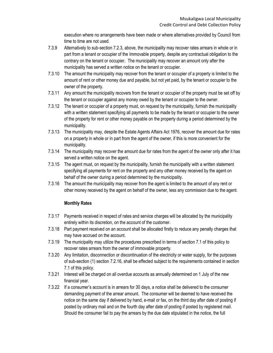execution where no arrangements have been made or where alternatives provided by Council from time to time are not used.

- 7.3.9 Alternatively to sub-section 7.2.3, above, the municipality may recover rates arrears in whole or in part from a tenant or occupier of the Immovable property, despite any contractual obligation to the contrary on the tenant or occupier. The municipality may recover an amount only after the municipality has served a written notice on the tenant or occupier.
- 7.3.10 The amount the municipality may recover from the tenant or occupier of a property is limited to the amount of rent or other money due and payable, but not yet paid, by the tenant or occupier to the owner of the property.
- 7.3.11 Any amount the municipality recovers from the tenant or occupier of the property must be set off by the tenant or occupier against any money owed by the tenant or occupier to the owner.
- 7.3.12 The tenant or occupier of a property must, on request by the municipality, furnish the municipality with a written statement specifying all payments to be made by the tenant or occupier to the owner of the property for rent or other money payable on the property during a period determined by the municipality.
- 7.3.13 The municipality may, despite the Estate Agents Affairs Act 1976, recover the amount due for rates on a property in whole or in part from the agent of the owner, if this is more convenient for the municipality.
- 7.3.14 The municipality may recover the amount due for rates from the agent of the owner only after it has served a written notice on the agent.
- 7.3.15 The agent must, on request by the municipality, furnish the municipality with a written statement specifying all payments for rent on the property and any other money received by the agent on behalf of the owner during a period determined by the municipality.
- 7.3.16 The amount the municipality may recover from the agent is limited to the amount of any rent or other money received by the agent on behalf of the owner, less any commission due to the agent.

#### **Monthly Rates**

- 7.3.17 Payments received in respect of rates and service charges will be allocated by the municipality entirely within its discretion, on the account of the customer.
- 7.3.18 Part payment received on an account shall be allocated firstly to reduce any penalty charges that may have accrued on the account.
- 7.3.19 The municipality may utilize the procedures prescribed in terms of section 7.1 of this policy to recover rates arrears from the owner of immovable property.
- 7.3.20 Any limitation, disconnection or discontinuation of the electricity or water supply, for the purposes of sub-section (1) section 7.2.16, shall be effected subject to the requirements contained in section 7.1 of this policy.
- 7.3.21 Interest will be charged on all overdue accounts as annually determined on 1 July of the new financial year.
- 7.3.22 If a consumer's account is in arrears for 30 days, a notice shall be delivered to the consumer demanding payment of the arrear amount. The consumer will be deemed to have received the notice on the same day if delivered by hand, e-mail or fax, on the third day after date of posting if posted by ordinary mail and on the fourth day after date of posting if posted by registered mail. Should the consumer fail to pay the arrears by the due date stipulated in the notice, the full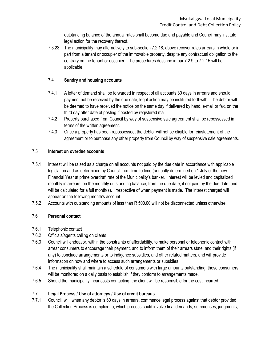outstanding balance of the annual rates shall become due and payable and Council may institute legal action for the recovery thereof.

7.3.23 The municipality may alternatively to sub-section 7.2.18, above recover rates arrears in whole or in part from a tenant or occupier of the immovable property, despite any contractual obligation to the contrary on the tenant or occupier. The procedures describe in par 7.2.9 to 7.2.15 will be applicable.

#### 7.4 **Sundry and housing accounts**

- 7.4.1 A letter of demand shall be forwarded in respect of all accounts 30 days in arrears and should payment not be received by the due date, legal action may be instituted forthwith. The debtor will be deemed to have received the notice on the same day if delivered by hand, e-mail or fax, on the third day after date of posting if posted by registered mail.
- 7.4.2 Property purchased from Council by way of suspensive sale agreement shall be repossessed in terms of the written agreement.
- 7.4.3 Once a property has been repossessed, the debtor will not be eligible for reinstatement of the agreement or to purchase any other property from Council by way of suspensive sale agreements.

#### 7.5 **Interest on overdue accounts**

- 7.5.1 Interest will be raised as a charge on all accounts not paid by the due date in accordance with applicable legislation and as determined by Council from time to time (annually determined on 1 July of the new Financial Year at prime overdraft rate of the Municipality's banker. Interest will be levied and capitalized monthly in arrears, on the monthly outstanding balance, from the due date, if not paid by the due date, and will be calculated for a full month(s). Irrespective of when payment is made. The interest charged will appear on the following month's account.
- 7.5.2 Accounts with outstanding amounts of less than R 500.00 will not be disconnected unless otherwise.

#### 7.6 **Personal contact**

- 7.6.1 Telephonic contact
- 7.6.2 Officials/agents calling on clients
- 7.6.3 Council will endeavor, within the constraints of affordability, to make personal or telephonic contact with arrear consumers to encourage their payment, and to inform them of their arrears state, and their rights (if any) to conclude arrangements or to indigence subsidies, and other related matters, and will provide information on how and where to access such arrangements or subsidies.
- 7.6.4 The municipality shall maintain a schedule of consumers with large amounts outstanding, these consumers will be monitored on a daily basis to establish if they conform to arrangements made.
- 7.6.5 Should the municipality incur costs contacting, the client will be responsible for the cost incurred.

#### 7.7 **Legal Process / Use of attorneys / Use of credit bureaus**

7.7.1 Council, will, when any debtor is 60 days in arrears, commence legal process against that debtor provided the Collection Process is complied to, which process could involve final demands, summonses, judgments,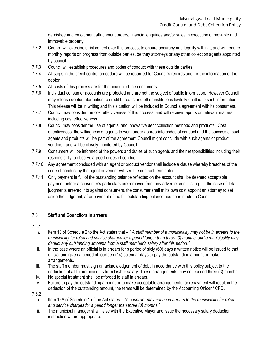garnishee and emolument attachment orders, financial enquiries and/or sales in execution of movable and immovable property.

- 7.7.2 Council will exercise strict control over this process, to ensure accuracy and legality within it, and will require monthly reports on progress from outside parties, be they attorneys or any other collection agents appointed by council.
- 7.7.3 Council will establish procedures and codes of conduct with these outside parties.
- 7.7.4 All steps in the credit control procedure will be recorded for Council's records and for the information of the debtor.
- 7.7.5 All costs of this process are for the account of the consumers.
- 7.7.6 Individual consumer accounts are protected and are not the subject of public information. However Council may release debtor information to credit bureaus and other institutions lawfully entitled to such information. This release will be in writing and this situation will be included in Council's agreement with its consumers.
- 7.7.7 Council may consider the cost effectiveness of this process, and will receive reports on relevant matters, including cost effectiveness.
- 7.7.8 Council may consider the use of agents, and innovative debt collection methods and products. Cost effectiveness, the willingness of agents to work under appropriate codes of conduct and the success of such agents and products will be part of the agreement Council might conclude with such agents or product vendors; and will be closely monitored by Council.
- 7.7.9 Consumers will be informed of the powers and duties of such agents and their responsibilities including their responsibility to observe agreed codes of conduct.
- 7.7.10 Any agreement concluded with an agent or product vendor shall include a clause whereby breaches of the code of conduct by the agent or vendor will see the contract terminated.
- 7.7.11 Only payment in full of the outstanding balance reflected on the account shall be deemed acceptable payment before a consumer's particulars are removed from any adverse credit listing. In the case of default judgments entered into against consumers, the consumer shall at its own cost appoint an attorney to set aside the judgment, after payment of the full outstanding balance has been made to Council.

#### 7.8 **Staff and Councilors in arrears**

- 7.8.1
	- *i.* Item 10 of Schedule 2 to the Act states that " *A staff member of a municipality may not be in arrears to the municipality for rates and service charges for a period longer than three (3) months, and a municipality may deduct any outstanding amounts from a staff member's salary after this period."*
	- ii. In the case where an official is in arrears for s period of sixty (60) days a written notice will be issued to that official and given a period of fourteen (14) calendar days to pay the outstanding amount or make arrangements.
	- iii. The staff member must sign an acknowledgement of debt in accordance with this policy subject to the deduction of all future accounts from his/her salary. These arrangements may not exceed three (3) months.
	- iv. No special treatment shall be afforded to staff in arrears.
	- v. Failure to pay the outstanding amount or to make acceptable arrangements for repayment will result in the deduction of the outstanding amount, the terms will be determined by the Accounting Officer / CFO.
- 7.8.2
	- i. Item 12A of Schedule 1 of the Act states *"A councilor may not be in arrears to the municipality for rates and service charges for a period longer than three (3) months."*
	- ii. The municipal manager shall liaise with the Executive Mayor and issue the necessary salary deduction instruction where appropriate.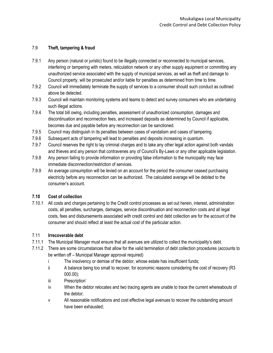#### 7.9 **Theft, tampering & fraud**

- 7.9.1 Any person (natural or juristic) found to be illegally connected or reconnected to municipal services, interfering or tampering with meters, reticulation network or any other supply equipment or committing any unauthorized service associated with the supply of municipal services, as well as theft and damage to Council property, will be prosecuted and/or liable for penalties as determined from time to time.
- 7.9.2 Council will immediately terminate the supply of services to a consumer should such conduct as outlined above be detected.
- 7.9.3 Council will maintain monitoring systems and teams to detect and survey consumers who are undertaking such illegal actions.
- 7.9.4 The total bill owing, including penalties, assessment of unauthorized consumption, damages and discontinuation and reconnection fees, and increased deposits as determined by Council if applicable, becomes due and payable before any reconnection can be sanctioned.
- 7.9.5 Council may distinguish in its penalties between cases of vandalism and cases of tampering.
- 7.9.6 Subsequent acts of tampering will lead to penalties and deposits increasing in quantum.
- 7.9.7 Council reserves the right to lay criminal charges and to take any other legal action against both vandals and thieves and any person that contravenes any of Council's By-Laws or any other applicable legislation.
- 7.9.8 Any person failing to provide information or providing false information to the municipality may face immediate disconnection/restriction of services.
- 7.9.9 An average consumption will be levied on an account for the period the consumer ceased purchasing electricity before any reconnection can be authorized. The calculated average will be debited to the consumer's account.

#### **7.10 Cost of collection**

7.10.1 All costs and charges pertaining to the Credit control processes as set out herein, interest, administration costs, all penalties, surcharges, damages, service discontinuation and reconnection costs and all legal costs, fees and disbursements associated with credit control and debt collection are for the account of the consumer and should reflect at least the actual cost of the particular action.

#### 7.11 **Irrecoverable debt**

- 7.11.1 The Municipal Manager must ensure that all avenues are utilized to collect the municipality's debt.
- 7.11.2 There are some circumstances that allow for the valid termination of debt collection procedures (accounts to be written off – Municipal Manager approval required)
	- i The insolvency or demise of the debtor, whose estate has insufficient funds;
	- ii A balance being too small to recover, for economic reasons considering the cost of recovery (R3 000.00);
	- iii Prescription'
	- iv When the debtor relocates and two tracing agents are unable to trace the current whereabouts of the debtor;
	- v All reasonable notifications and cost effective legal avenues to recover the outstanding amount have been exhausted;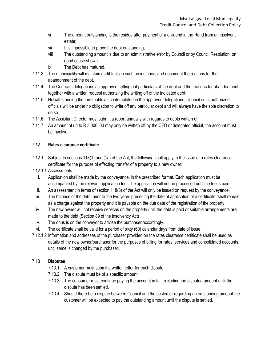- vi The amount outstanding is the residue after payment of a dividend in the Rand from an insolvent estate;
- vii It is impossible to prove the debt outstanding;
- viii The outstanding amount is due to an administrative error by Council or by Council Resolution, on good cause shown.
- Ix The Debt has matured.
- 7.11.3 The municipality will maintain audit trials in such an instance, and document the reasons for the abandonment of the debt.
- 7.11.4 The Council's delegations as approved setting out particulars of the debt and the reasons for abandonment, together with a written request authorizing the writing off of the indicated debt:
- 7.11.5 Notwithstanding the thresholds as contemplated in the approved delegations, Council or its authorized officials will be under no obligation to write off any particular debt and will always have the sole discretion to do so.
- 7.11.6 The Assistant Director must submit a report annually with regards to debts written off.
- 7.11.7 An amount of up to R 3 000. 00 may only be written off by the CFO or delegated official, the account must be inactive.

# 7.12 **Rates clearance certificate**

- 7.12.1 Subject to sections 118(1) and (1a) of the Act, the following shall apply to the issue of a rates clearance certificate for the purpose of effecting transfer of a property to a new owner:
- 7.12.1.1 Assessments:
	- i. Application shall be made by the conveyance, in the prescribed format. Each application must be accompanied by the relevant application fee. The application will not be processed until the fee is paid.
	- ii. An assessment in terms of section 118(3) of the Act will only be issued on request by the conveyance.
	- iii. The balance of the debt, prior to the two years preceding the date of application of a certificate, shall remain as a charge against the property and it is payable on the due date of the registration of the property.
	- iv. The new owner will not receive services on the property until the debt is paid or suitable arrangements are made to the debt (Section 89 of the insolvency Act)
	- v. The onus is on the conveyor to advise the purchaser accordingly.
	- vi. The certificate shall be valid for a period of sixty (60) calendar days from date of issue.
- 7.12.1.2 Information and addresses of the purchaser provided on the rates clearance certificate shall be used as details of the new owner/purchaser for the purposes of billing for rates, services and consolidated accounts, until same is changed by the purchaser.

# 7.13 **Disputes**

- 7.13.1 A customer must submit a written letter for each dispute.
- 7.13.2 The dispute must be of a specific amount.
- 7.13.3 The consumer must continue paying the account in full excluding the disputed amount until the dispute has been settled.
- 7.13.4 Should there be a dispute between Council and the customer regarding an outstanding amount the customer will be expected to pay the outstanding amount until the dispute is settled.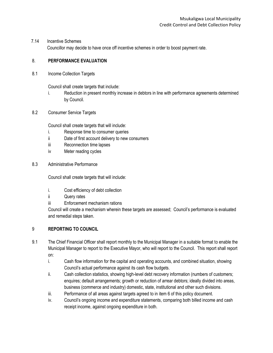#### 7.14 Incentive Schemes

Councillor may decide to have once off incentive schemes in order to boost payment rate.

#### 8. **PERFORMANCE EVALUATION**

8.1 Income Collection Targets

Council shall create targets that include:

- i. Reduction in present monthly increase in debtors in line with performance agreements determined by Council.
- 8.2 Consumer Service Targets

Council shall create targets that will include:

- i. Response time to consumer queries
- ii Date of first account delivery to new consumers
- iii Reconnection time lapses
- iv Meter reading cycles
- 8.3 Administrative Performance

Council shall create targets that will include:

- i. Cost efficiency of debt collection
- ii Query rates
- iii Enforcement mechanism rations

Council will create a mechanism wherein these targets are assessed; Council's performance is evaluated and remedial steps taken.

#### 9 **REPORTING TO COUNCIL**

- 9.1 The Chief Financial Officer shall report monthly to the Municipal Manager in a suitable format to enable the Municipal Manager to report to the Executive Mayor, who will report to the Council. This report shall report on:
	- i. Cash flow information for the capital and operating accounts, and combined situation, showing Council's actual performance against its cash flow budgets.
	- ii. Cash collection statistics, showing high-level debt recovery information (numbers of customers; enquires; default arrangements; growth or reduction of arrear debtors; ideally divided into areas, business (commerce and industry) domestic, state, institutional and other such divisions.
	- iii. Performance of all areas against targets agreed to in item 6 of this policy document.
	- iv. Council's ongoing income and expenditure statements, comparing both billed income and cash receipt income, against ongoing expenditure in both.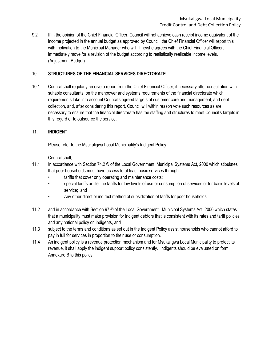9.2 If in the opinion of the Chief Financial Officer, Council will not achieve cash receipt income equivalent of the income projected in the annual budget as approved by Council, the Chief Financial Officer will report this with motivation to the Municipal Manager who will, if he/she agrees with the Chief Financial Officer, immediately move for a revision of the budget according to realistically realizable income levels. (Adjustment Budget).

#### 10. **STRUCTURES OF THE FINANCIAL SERVICES DIRECTORATE**

10.1 Council shall regularly receive a report from the Chief Financial Officer, if necessary after consultation with suitable consultants, on the manpower and systems requirements of the financial directorate which requirements take into account Council's agreed targets of customer care and management, and debt collection, and, after considering this report, Council will within reason vote such resources as are necessary to ensure that the financial directorate has the staffing and structures to meet Council's targets in this regard or to outsource the service.

#### 11. **INDIGENT**

Please refer to the Msukaligwa Local Municipality's Indigent Policy.

Council shall,

- 11.1 In accordance with Section 74.2 © of the Local Government: Municipal Systems Act, 2000 which stipulates that poor households must have access to at least basic services through-
	- tariffs that cover only operating and maintenance costs;
	- special tariffs or life line tariffs for low levels of use or consumption of services or for basic levels of service; and
	- Any other direct or indirect method of subsidization of tariffs for poor households.
- 11.2 and in accordance with Section 97 © of the Local Government: Municipal Systems Act, 2000 which states that a municipality must make provision for indigent debtors that is consistent with its rates and tariff policies and any national policy on indigents, and
- 11.3 subject to the terms and conditions as set out in the Indigent Policy assist households who cannot afford to pay in full for services in proportion to their use or consumption.
- 11.4 An indigent policy is a revenue protection mechanism and for Msukaligwa Local Municipality to protect its revenue, it shall apply the indigent support policy consistently. Indigents should be evaluated on form Annexure B to this policy.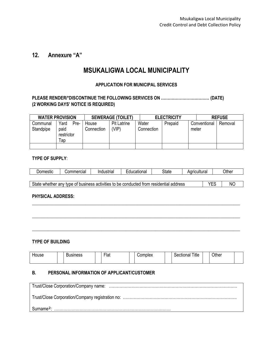# **12. Annexure "A"**

# **MSUKALIGWA LOCAL MUNICIPALITY**

#### **APPLICATION FOR MUNICIPAL SERVICES**

#### **PLEASE RENDER/\*DISCONTINUE THE FOLLOWING SERVICES ON ……………………………… (DATE) (2 WORKING DAYS' NOTICE IS REQUIRED)**

| <b>WATER PROVISION</b> |                           |      | <b>SEWERAGE (TOILET)</b> |                    |  | <b>ELECTRICITY</b> |         |       | <b>REFUSE</b> |         |  |
|------------------------|---------------------------|------|--------------------------|--------------------|--|--------------------|---------|-------|---------------|---------|--|
| Communal               | Yard                      | Pre- | House                    | <b>Pit Latrine</b> |  | Water              | Prepaid |       | Conventional  | Removal |  |
| Standpipe              | paid<br>restrictor<br>Тар |      | Connection               | 'VIP)              |  | Connection         |         | meter |               |         |  |
|                        |                           |      |                          |                    |  |                    |         |       |               |         |  |

#### **TYPE OF SUPPLY**:

| omestic<br>IOL. | ommercial<br>. .ur | 'nı<br>`ustriaï | - - -<br>''''''' | State | วultural<br>ш | )ther |
|-----------------|--------------------|-----------------|------------------|-------|---------------|-------|
|                 |                    |                 |                  |       |               |       |

State whether any type of business activities to be conducted from residential address <br>
NO

 $\_$  ,  $\_$  ,  $\_$  ,  $\_$  ,  $\_$  ,  $\_$  ,  $\_$  ,  $\_$  ,  $\_$  ,  $\_$  ,  $\_$  ,  $\_$  ,  $\_$  ,  $\_$  ,  $\_$  ,  $\_$  ,  $\_$  ,  $\_$  ,  $\_$  ,  $\_$  ,  $\_$  ,  $\_$  ,  $\_$  ,  $\_$  ,  $\_$  ,  $\_$  ,  $\_$  ,  $\_$  ,  $\_$  ,  $\_$  ,  $\_$  ,  $\_$  ,  $\_$  ,  $\_$  ,  $\_$  ,  $\_$  ,  $\_$  ,

\_\_\_\_\_\_\_\_\_\_\_\_\_\_\_\_\_\_\_\_\_\_\_\_\_\_\_\_\_\_\_\_\_\_\_\_\_\_\_\_\_\_\_\_\_\_\_\_\_\_\_\_\_\_\_\_\_\_\_\_\_\_\_\_\_\_\_\_\_\_\_\_\_\_\_\_\_\_\_\_\_\_\_\_\_\_\_\_\_\_\_\_\_

 $\_$  ,  $\_$  ,  $\_$  ,  $\_$  ,  $\_$  ,  $\_$  ,  $\_$  ,  $\_$  ,  $\_$  ,  $\_$  ,  $\_$  ,  $\_$  ,  $\_$  ,  $\_$  ,  $\_$  ,  $\_$  ,  $\_$  ,  $\_$  ,  $\_$  ,  $\_$  ,  $\_$  ,  $\_$  ,  $\_$  ,  $\_$  ,  $\_$  ,  $\_$  ,  $\_$  ,  $\_$  ,  $\_$  ,  $\_$  ,  $\_$  ,  $\_$  ,  $\_$  ,  $\_$  ,  $\_$  ,  $\_$  ,  $\_$  ,

#### **PHYSICAL ADDRESS:**

#### **TYPE OF BUILDING**

| House | -<br>sıness | $- \cdot$<br>∽lat | Complex | Title<br>cuonai | <b></b><br>⊃ther |  |
|-------|-------------|-------------------|---------|-----------------|------------------|--|
|       |             |                   |         |                 |                  |  |

#### **B. PERSONAL INFORMATION OF APPLICANT/CUSTOMER**

| Surname <sup>2</sup> : |
|------------------------|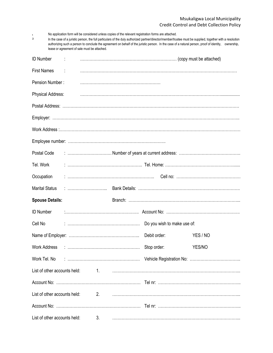1 No application form will be considered unless copies of the relevant registration forms are attached.

| In the case of a juristic person, the full particulars of the duly authorized partner/director/member/trustee must be supplied, together with a resolution |  |
|------------------------------------------------------------------------------------------------------------------------------------------------------------|--|
| authorizing such a person to conclude the agreement on behalf of the juristic person. In the case of a natural person, proof of identity, ownership,       |  |
| lease or agreement of sale must be attached.                                                                                                               |  |

| <b>ID Number</b>             |  |  |                             |          |  |
|------------------------------|--|--|-----------------------------|----------|--|
| <b>First Names</b>           |  |  |                             |          |  |
| Pension Number:              |  |  |                             |          |  |
| Physical Address:            |  |  |                             |          |  |
|                              |  |  |                             |          |  |
|                              |  |  |                             |          |  |
|                              |  |  |                             |          |  |
|                              |  |  |                             |          |  |
| Postal Code                  |  |  |                             |          |  |
| Tel. Work                    |  |  |                             |          |  |
| Occupation                   |  |  |                             |          |  |
| <b>Marital Status</b>        |  |  |                             |          |  |
| <b>Spouse Details:</b>       |  |  |                             |          |  |
| <b>ID Number</b>             |  |  |                             |          |  |
| Cell No                      |  |  | Do you wish to make use of: |          |  |
|                              |  |  | Debit order:                | YES / NO |  |
|                              |  |  | Stop order:                 | YES/NO   |  |
|                              |  |  |                             |          |  |
|                              |  |  |                             |          |  |
|                              |  |  |                             |          |  |
| List of other accounts held: |  |  |                             |          |  |
|                              |  |  |                             |          |  |
| List of other accounts held: |  |  |                             |          |  |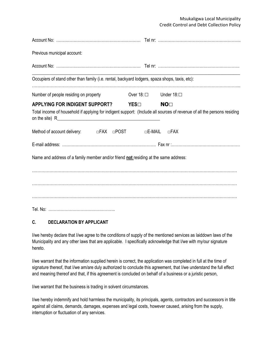| Previous municipal account:                                                                                                                                    |            |                     |
|----------------------------------------------------------------------------------------------------------------------------------------------------------------|------------|---------------------|
|                                                                                                                                                                |            |                     |
| Occupiers of stand other than family (i.e. rental, backyard lodgers, spaza shops, taxis, etc):                                                                 |            |                     |
| Number of people residing on property                                                                                                                          | Over 18: □ | Under $18: \square$ |
| APPLYING FOR INDIGENT SUPPORT? YES□<br>Total income of household if applying for indigent support: (Include all sources of revenue of all the persons residing |            | <b>NO</b>           |
| Method of account delivery: $\Box$ FAX $\Box$ POST $\Box$ E-MAIL                                                                                               |            | $\square$ FAX       |
|                                                                                                                                                                |            |                     |
| Name and address of a family member and/or friend not residing at the same address:                                                                            |            |                     |
|                                                                                                                                                                |            |                     |
|                                                                                                                                                                |            |                     |
|                                                                                                                                                                |            |                     |
|                                                                                                                                                                |            |                     |

#### **C. DECLARATION BY APPLICANT**

I/we hereby declare that I/we agree to the conditions of supply of the mentioned services as laiddown laws of the Municipality and any other laws that are applicable. I specifically acknowledge that I/we with my/our signature hereto.

I/we warrant that the information supplied herein is correct, the application was completed in full at the time of signature thereof, that I/we am/are duly authorized to conclude this agreement, that I/we understand the full effect and meaning thereof and that, if this agreement is concluded on behalf of a business or a juristic person,

I/we warrant that the business is trading in solvent circumstances.

I/we hereby indemnify and hold harmless the municipality, its principals, agents, contractors and successors in title against all claims, demands, damages, expenses and legal costs, however caused, arising from the supply, interruption or fluctuation of any services.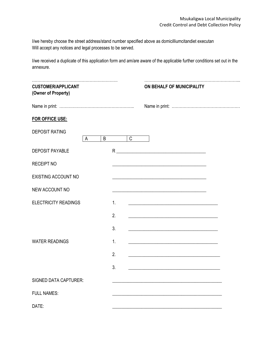I/we hereby choose the street address/stand number specified above as domicilliumcitandiet executan Will accept any notices and legal processes to be served.

I/we received a duplicate of this application form and am/are aware of the applicable further conditions set out in the annexure.

| <b>CUSTOMER/APPLICANT</b><br>(Owner of Property) |   |   |    |              | ON BEHALF OF MUNICIPALITY                                                                                             |  |  |  |  |
|--------------------------------------------------|---|---|----|--------------|-----------------------------------------------------------------------------------------------------------------------|--|--|--|--|
|                                                  |   |   |    |              |                                                                                                                       |  |  |  |  |
| FOR OFFICE USE:                                  |   |   |    |              |                                                                                                                       |  |  |  |  |
| <b>DEPOSIT RATING</b>                            | A | B |    | $\mathsf{C}$ |                                                                                                                       |  |  |  |  |
| <b>DEPOSIT PAYABLE</b>                           |   |   |    |              |                                                                                                                       |  |  |  |  |
| <b>RECEIPT NO</b>                                |   |   |    |              | <u> 1989 - Johann Barbara, marka a shekara tsa 1989 - An tsa 1989 - An tsa 1989 - An tsa 1989 - An tsa 1989 - An</u>  |  |  |  |  |
| <b>EXISTING ACCOUNT NO</b>                       |   |   |    |              |                                                                                                                       |  |  |  |  |
| NEW ACCOUNT NO                                   |   |   |    |              |                                                                                                                       |  |  |  |  |
| <b>ELECTRICITY READINGS</b>                      |   |   | 1. |              | <u> 1989 - Johann Harry Harry Harry Harry Harry Harry Harry Harry Harry Harry Harry Harry Harry Harry Harry Harry</u> |  |  |  |  |
|                                                  |   |   | 2. |              |                                                                                                                       |  |  |  |  |
|                                                  |   |   | 3. |              | <u> 1989 - Johann Barbara, martxa alemaniar arg</u>                                                                   |  |  |  |  |
| <b>WATER READINGS</b>                            |   |   | 1. |              |                                                                                                                       |  |  |  |  |
|                                                  |   |   | 2. |              | <u> 1989 - Johann Barbara, martxa alemaniar amerikan baratzaren 1980an biztanle arteko hamarka</u>                    |  |  |  |  |
|                                                  |   |   | 3. |              |                                                                                                                       |  |  |  |  |
| <b>SIGNED DATA CAPTURER:</b>                     |   |   |    |              |                                                                                                                       |  |  |  |  |
| <b>FULL NAMES:</b>                               |   |   |    |              |                                                                                                                       |  |  |  |  |
| DATE:                                            |   |   |    |              |                                                                                                                       |  |  |  |  |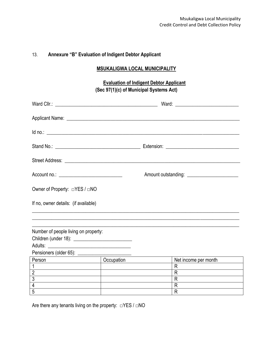# 13. **Annexure "B" Evaluation of Indigent Debtor Applicant**

#### **MSUKALIGWA LOCAL MUNICIPALITY**

# **Evaluation of Indigent Debtor Applicant (Sec 97(1)(c) of Municipal Systems Act)**

| Applicant Name: Name: Name and Applicant Name and Applicant Name and Applicant Name and Applicant Applicant Applicant Applicant Applicant Applicant Applicant Applicant Applicant Applicant Applicant Applicant Applicant Appl |                  |                                                                                                                                                                                                                                |                      |  |  |  |
|--------------------------------------------------------------------------------------------------------------------------------------------------------------------------------------------------------------------------------|------------------|--------------------------------------------------------------------------------------------------------------------------------------------------------------------------------------------------------------------------------|----------------------|--|--|--|
| $Id$ no.: $\overline{\phantom{a}}$                                                                                                                                                                                             |                  |                                                                                                                                                                                                                                |                      |  |  |  |
|                                                                                                                                                                                                                                |                  |                                                                                                                                                                                                                                |                      |  |  |  |
|                                                                                                                                                                                                                                |                  |                                                                                                                                                                                                                                |                      |  |  |  |
|                                                                                                                                                                                                                                |                  | Amount outstanding: \\esseq\\connect\\connect\\connect\\connect\\connect\\connect\\connect\\connect\\connect\\connect\\connect\\connect\\connect\\connect\\connect\\connect\\connect\\connect\\connect\\connect\\connect\\conn |                      |  |  |  |
| Owner of Property: □YES / □NO                                                                                                                                                                                                  |                  |                                                                                                                                                                                                                                |                      |  |  |  |
| If no, owner details: (if available)                                                                                                                                                                                           |                  |                                                                                                                                                                                                                                |                      |  |  |  |
|                                                                                                                                                                                                                                |                  |                                                                                                                                                                                                                                |                      |  |  |  |
| Number of people living on property:                                                                                                                                                                                           |                  |                                                                                                                                                                                                                                |                      |  |  |  |
|                                                                                                                                                                                                                                |                  |                                                                                                                                                                                                                                |                      |  |  |  |
|                                                                                                                                                                                                                                |                  |                                                                                                                                                                                                                                |                      |  |  |  |
|                                                                                                                                                                                                                                |                  |                                                                                                                                                                                                                                |                      |  |  |  |
| Person                                                                                                                                                                                                                         | <b>Ccupation</b> |                                                                                                                                                                                                                                | Net income per month |  |  |  |
| $\mathbf{1}$                                                                                                                                                                                                                   |                  |                                                                                                                                                                                                                                | R.                   |  |  |  |
|                                                                                                                                                                                                                                |                  |                                                                                                                                                                                                                                | R.                   |  |  |  |
| $\frac{2}{3}$                                                                                                                                                                                                                  |                  |                                                                                                                                                                                                                                | R                    |  |  |  |
|                                                                                                                                                                                                                                |                  |                                                                                                                                                                                                                                | R                    |  |  |  |
| $\overline{5}$                                                                                                                                                                                                                 |                  |                                                                                                                                                                                                                                | R                    |  |  |  |

Are there any tenants living on the property: □YES / □NO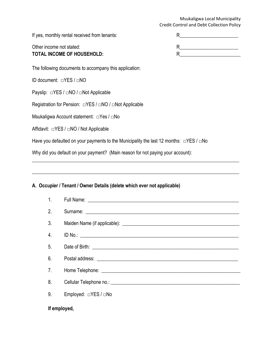If yes, monthly rental received from tenants:

| Е |  |
|---|--|
|   |  |
| R |  |
| G |  |

TOTAL INCOME OF HOUSEHOLD:

The following documents to accompany this application:

ID document: □YES / □NO

Other income not stated:

Payslip: □YES / □NO / □Not Applicable

Registration for Pension: □YES / □NO / □Not Applicable

Msukaligwa Account statement: □Yes / □No

Affidavit: □YES / □NO / Not Applicable

Have you defaulted on your payments to the Municipality the last 12 months:  $\square$ YES /  $\square$ No

\_\_\_\_\_\_\_\_\_\_\_\_\_\_\_\_\_\_\_\_\_\_\_\_\_\_\_\_\_\_\_\_\_\_\_\_\_\_\_\_\_\_\_\_\_\_\_\_\_\_\_\_\_\_\_\_\_\_\_\_\_\_\_\_\_\_\_\_\_\_\_\_\_\_\_\_\_\_\_\_\_\_\_\_\_

 $\_$  , and the set of the set of the set of the set of the set of the set of the set of the set of the set of the set of the set of the set of the set of the set of the set of the set of the set of the set of the set of th

Why did you default on your payment? (Main reason for not paying your account):

# **A. Occupier / Tenant / Owner Details (delete which ever not applicable)**

| 1 <sub>1</sub>   |                      |  |  |  |  |
|------------------|----------------------|--|--|--|--|
| 2.               |                      |  |  |  |  |
| 3.               |                      |  |  |  |  |
| $\overline{4}$ . | ID No.:              |  |  |  |  |
| 5 <sub>1</sub>   |                      |  |  |  |  |
| 6.               |                      |  |  |  |  |
| 7 <sub>1</sub>   |                      |  |  |  |  |
| 8.               |                      |  |  |  |  |
| 9.               | Employed: □YES / □No |  |  |  |  |
|                  | If employed,         |  |  |  |  |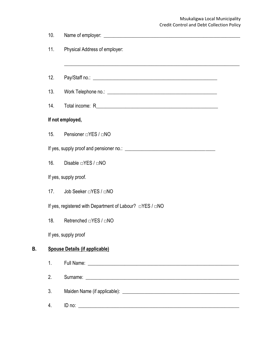|    | 10. |                                                                                                                  |
|----|-----|------------------------------------------------------------------------------------------------------------------|
|    | 11. | Physical Address of employer:                                                                                    |
|    | 12. | and the control of the control of the control of the control of the control of the control of the control of the |
|    | 13. |                                                                                                                  |
|    | 14. |                                                                                                                  |
|    |     | If not employed,                                                                                                 |
|    | 15. | Pensioner □YES / □NO                                                                                             |
|    |     |                                                                                                                  |
|    | 16. | Disable □YES / □NO                                                                                               |
|    |     | If yes, supply proof.                                                                                            |
|    | 17. | Job Seeker □YES / □NO                                                                                            |
|    |     | If yes, registered with Department of Labour? □YES / □NO                                                         |
|    | 18. | Retrenched □YES / □NO                                                                                            |
|    |     | If yes, supply proof                                                                                             |
| B. |     | <b>Spouse Details (if applicable)</b>                                                                            |
|    | 1.  |                                                                                                                  |
|    | 2.  |                                                                                                                  |
|    | 3.  |                                                                                                                  |
|    | 4.  |                                                                                                                  |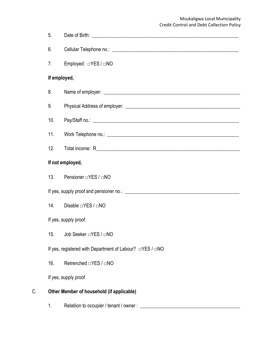|    | 5.           |                                                          |
|----|--------------|----------------------------------------------------------|
|    | 6.           |                                                          |
|    | 7.           |                                                          |
|    | If employed, |                                                          |
|    | 8.           |                                                          |
|    | 9.           |                                                          |
|    | 10.          |                                                          |
|    | 11.          |                                                          |
|    | 12.          |                                                          |
|    |              | If not employed,                                         |
|    | 13.          | Pensioner □YES / □NO                                     |
|    |              |                                                          |
|    | 14.          | Disable □YES / □NO                                       |
|    |              | If yes, supply proof.                                    |
|    | 15.          |                                                          |
|    |              | If yes, registered with Department of Labour? □YES / □NO |
|    | 16.          | Retrenched □YES / □NO                                    |
|    |              | If yes, supply proof                                     |
| Ć. |              | Other Member of household (if applicable)                |
|    |              |                                                          |

1. Relatiion to occupier / tenant / owner : \_\_\_\_\_\_\_\_\_\_\_\_\_\_\_\_\_\_\_\_\_\_\_\_\_\_\_\_\_\_\_\_\_\_\_\_\_\_\_\_\_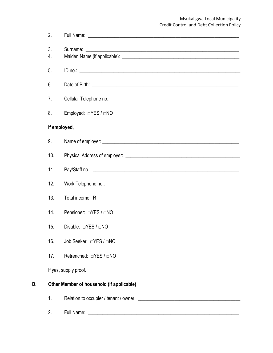|    | 2.           |                                           |
|----|--------------|-------------------------------------------|
|    | 3.<br>4.     |                                           |
|    | 5.           |                                           |
|    | 6.           |                                           |
|    | 7.           |                                           |
|    | 8.           | Employed: □YES / □NO                      |
|    | If employed, |                                           |
|    | 9.           |                                           |
|    | 10.          |                                           |
|    | 11.          |                                           |
|    | 12.          |                                           |
|    | 13.          |                                           |
|    | 14.          | Pensioner: □YES / □NO                     |
|    | 15.          | Disable: $\Box$ YES / $\Box$ NO           |
|    | 16.          | Job Seeker: $\Box$ YES / $\Box$ NO        |
|    | 17.          | Retrenched: □YES / □NO                    |
|    |              | If yes, supply proof.                     |
| D. |              | Other Member of household (if applicable) |
|    | 1.           |                                           |
|    | 2.           |                                           |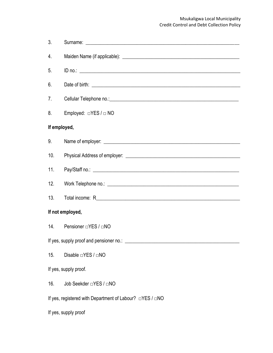| 3.                                                       |                                  |  |  |
|----------------------------------------------------------|----------------------------------|--|--|
| 4.                                                       |                                  |  |  |
| 5.                                                       |                                  |  |  |
| 6.                                                       |                                  |  |  |
| 7.                                                       |                                  |  |  |
| 8.                                                       | Employed: $\Box$ YES / $\Box$ NO |  |  |
| If employed,                                             |                                  |  |  |
| 9.                                                       |                                  |  |  |
| 10.                                                      |                                  |  |  |
| 11.                                                      |                                  |  |  |
| 12.                                                      |                                  |  |  |
| 13.                                                      |                                  |  |  |
|                                                          | If not employed,                 |  |  |
| 14.                                                      | Pensioner □YES / □NO             |  |  |
|                                                          |                                  |  |  |
| 15.                                                      | Disable □YES / □NO               |  |  |
| If yes, supply proof.                                    |                                  |  |  |
| 16.                                                      | Job Seekder □YES / □NO           |  |  |
| If yes, registered with Department of Labour? □YES / □NO |                                  |  |  |
|                                                          | If yes, supply proof             |  |  |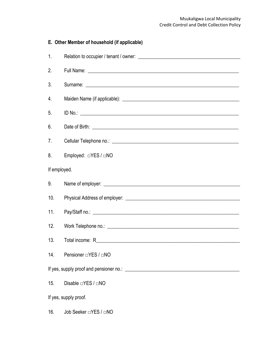| E. Other Member of household (if applicable) |                       |  |
|----------------------------------------------|-----------------------|--|
| 1.                                           |                       |  |
| 2.                                           |                       |  |
| 3.                                           |                       |  |
| 4.                                           |                       |  |
| 5.                                           |                       |  |
| 6.                                           |                       |  |
| 7.                                           |                       |  |
| 8.                                           |                       |  |
| If employed.                                 |                       |  |
| 9.                                           |                       |  |
| 10.                                          |                       |  |
| 11.                                          |                       |  |
| 12.                                          |                       |  |
|                                              |                       |  |
| 14.                                          | Pensioner □YES / □NO  |  |
|                                              |                       |  |
| 15.                                          | Disable □YES / □NO    |  |
| If yes, supply proof.                        |                       |  |
| 16.                                          | Job Seeker □YES / □NO |  |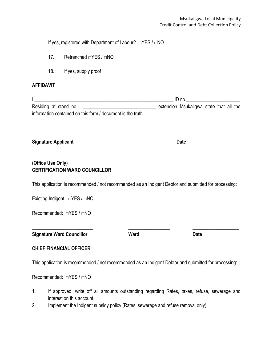If yes, registered with Department of Labour? □YES / □NO

- 17. Retrenched □YES / □NO
- 18. If yes, supply proof

#### **AFFIDAVIT**

 $I \_{} \_{}$ Residing at stand no. The stand notice of the state of the state that all the Residing at state that all the information contained on this form / document is the truth.

 $\_$  , and the set of the set of the set of the set of the set of the set of the set of the set of the set of the set of the set of the set of the set of the set of the set of the set of the set of the set of the set of th

**Signature Applicant Date**

# **(Office Use Only) CERTIFICATION WARD COUNCILLOR**

This application is recommended / not recommended as an Indigent Debtor and submitted for processing:

Existing Indigent: □YES / □NO

Recommended: □YES / □NO

**Signature Ward Councillor Ward Date**

#### **CHIEF FINANCIAL OFFICER**

This application is recommended / not recommended as an Indigent Debtor and submitted for processing:

Recommended: □YES / □NO

- 1. If approved, write off all amounts outstanding regarding Rates, taxes, refuse, sewerage and interest on this account.
- 2. Implement the Indigent subsidy policy (Rates, sewerage and refuse removal only).

\_\_\_\_\_\_\_\_\_\_\_\_\_\_\_\_\_\_\_\_\_\_\_\_\_ \_\_\_\_\_\_\_\_\_\_\_\_\_\_\_\_\_ \_\_\_\_\_\_\_\_\_\_\_\_\_\_\_\_\_\_\_